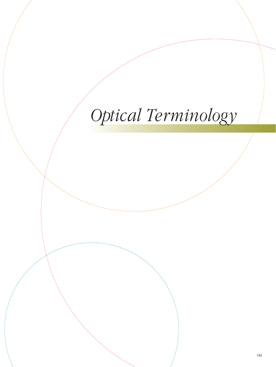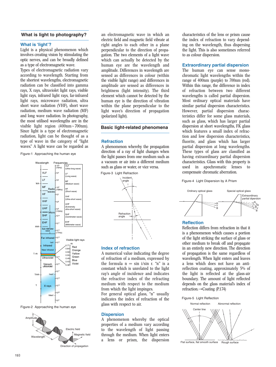#### **What is light to photography?**

#### **What is 'light'?**

Light is a physical phenomenon which involves creating vision by stimulating the optic nerves, and can be broadly defined as a type of electromagnetic wave.

Types of electromagnetic radiation vary according to wavelength. Starting from the shortest wavelengths, electromagnetic radiation can be classified into gamma rays, X rays, ultraviolet light rays, visible light rays, infrared light rays, far-infrared light rays, microwave radiation, ultra short wave radiation (VHF), short wave radiation, medium wave radiation (MF) and long wave radiation. In photography, the most utilised wavelengths are in the visible light region (400nm~700nm). Since light is a type of electromagnetic radiation, light can be thought of as a type of wave in the category of "light waves." A light wave can be regarded as

Figure-1 Approaching the human eye







an electromagnetic wave in which an electric field and magnetic field vibrate at right angles to each other in a plane perpendicular to the direction of propagation. The two elements of a light wave which can actually be detected by the human eye are the wavelength and amplitude. Differences in wavelength are sensed as differences in colour (within the visible light range) and differences in amplitude are sensed as differences in brightness (light intensity). The third element which cannot be detected by the human eye is the direction of vibration within the plane perpendicular to the light wave's direction of propagation (polarized light).

#### **Basic light-related phenomena**

#### **Refraction**

A phenomenon whereby the propagation direction of a ray of light changes when the light passes from one medium such as a vacuum or air into a different medium such as glass or water, or vice versa.

Figure-3 Light Refraction



**Index of refraction**

A numerical value indicating the degree of refraction of a medium, expressed by the formula  $n = \sin i/\sin r$ . "n" is a constant which is unrelated to the light ray's angle of incidence and indicates the refractive index of the refracting medium with respect to the medium from which the light impinges.

For general optical glass, "n" usually indicates the index of refraction of the glass with respect to air.

#### **Dispersion**

A phenomenon whereby the optical properties of a medium vary according to the wavelength of light passing through the medium. When light enters a lens or prism, the dispersion

characteristics of the lens or prism cause the index of refraction to vary depending on the wavelength, thus dispersing the light. This is also sometimes referred to as colour dispersion.

#### **Extraordinary partial dispersion**

The human eye can sense monochromatic light wavelengths within the range of 400nm (purple) to 700nm (red). Within this range, the difference in index of refraction between two different wavelengths is called partial dispersion. Most ordinary optical materials have similar partial dispersion characteristics. However, partial dispersion characteristics differ for some glass materials, such as glass, which has larger partial dispersion at short wavelengths, FK glass which features a small index of refraction and low dispersion characteristics, fluorite, and glass which has larger partial dispersion at long wavelengths. These types of glass are classified as having extraordinary partial dispersion characteristics. Glass with this property is used in apochromatic lenses to compensate chromatic aberration.

Figure-4 Light Dispersion by A Prism



#### **Reflection**

Reflection differs from refraction in that it is a phenomenon which causes a portion of the light striking the surface of glass or other medium to break off and propagate in an entirely new direction. The direction of propagation is the same regardless of wavelength. When light enters and leaves a lens which does not have an antireflection coating, approximately 5% of the light is reflected at the glass-air boundary. The amount of light reflected depends on the glass material's index of refraction.→Coating (P.174)

Figure-5 Light Reflection



Flat surface, flat smooth surface Rough surface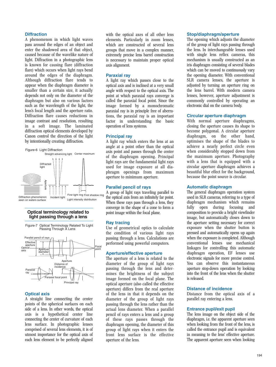#### **Diffraction**

A phenomenon in which light waves pass around the edges of an object and enter the shadowed area of that object, caused because of the wavelike nature of light. Diffraction in a photographic lens is known for causing flare (diffraction flare) which occurs when light rays bend around the edges of the diaphragm. Although diffraction flare tends to appear when the diaphragm diameter is smaller than a certain size, it actually depends not only on the diameter of the diaphragm but also on various factors such as the wavelength of the light, the lens's focal length and the aperture ratio. Diffraction flare causes reductions in image contrast and resolution, resulting in a soft image. The laminated diffraction optical elements developed by Canon control the direction of the light by intentionally creating diffraction.







#### **Optical axis**

A straight line connecting the center points of the spherical surfaces on each side of a lens. In other words, the optical axis is a hypothetical center line connecting the center of curvature of each lens surface. In photographic lenses comprised of several lens elements, it is of utmost importance for the optical axis of each lens element to be perfectly aligned

with the optical axes of all other lens elements. Particularly in zoom lenses, which are constructed of several lens groups that move in a complex manner, extremely precise lens barrel construction is necessary to maintain proper optical axis alignment.

#### **Paraxial ray**

A light ray which passes close to the optical axis and is inclined at a very small angle with respect to the optical axis. The point at which paraxial rays converge is called the paraxial focal point. Since the image formed by a monochromatic paraxial ray is in principle free of aberrations, the paraxial ray is an important factor in understanding the basic operation of lens systems.

#### **Principal ray**

A light ray which enters the lens at an angle at a point other than the optical axis point and passes through the center of the diaphragm opening. Principal light rays are the fundamental light rays used for image exposure at all diaphragm openings from maximum aperture to minimum aperture.

#### **Parallel pencil of rays**

A group of light rays traveling parallel to the optical axis from an infinitely far point. When these rays pass through a lens, they converge in the shape of a cone to form a point image within the focal plane.

#### **Ray tracing**

Use of geometrical optics to calculate the condition of various light rays passing through a lens. Calculations are performed using powerful computers.

#### **Aperture/effective aperture**

The aperture of a lens is related to the diameter of the group of light rays passing through the lens and determines the brightness of the subject image formed on the focal plane. The optical aperture (also called the effective aperture) differs from the real aperture of the lens in that it depends on the diameter of the group of light rays passing through the lens rather than the actual lens diameter. When a parallel pencil of rays enters a lens and a group of these rays passes through the diaphragm opening, the diameter of this group of light rays when it enters the front lens surface is the effective aperture of the lens.

#### **Stop/diaphragm/aperture**

The opening which adjusts the diameter of the group of light rays passing through the lens. In interchangeable lenses used with single lens reflex cameras, this mechanism is usually constructed as an iris diaphragm consisting of several blades which can be moved to continuously vary the opening diameter. With conventional SLR camera lenses, the aperture is adjusted by turning an aperture ring on the lens barrel. With modern camera lenses, however, aperture adjustment is commonly controlled by operating an electronic dial on the camera body.

#### **Circular aperture diaphragm**

With normal aperture diaphragms, closing the aperture causes its shape to become polygonal. A circular aperture diaphragm, on the other hand, optimises the shape of the blades to achieve a nearly perfect circle even when considerably stopped down from the maximum aperture. Photography with a lens that is equipped with a circular aperture diaphragm achieves a beautiful blur effect for the background, because the point source is circular.

#### **Automatic diaphragm**

The general diaphragm operation system used in SLR cameras, referring to a type of diaphragm mechanism which remains fully open during focusing and composition to provide a bright viewfinder image, but automatically closes down to the aperture setting necessary for correct exposure when the shutter button is pressed and automatically opens up again when the exposure is completed. Although conventional lenses use mechanical linkages for controlling this automatic diaphragm operation, EF lenses use electronic signals for more precise control. You can observe this instantaneous aperture stop-down operation by looking into the front of the lens when the shutter is released.

#### **Distance of incidence**

Distance from the optical axis of a parallel ray entering a lens.

#### **Entrance pupil/exit pupil**

The lens image on the object side of the diaphragm, i.e. the apparent aperture seen when looking from the front of the lens, is called the entrance pupil and is equivalent in meaning to the lens' effective aperture. The apparent aperture seen when looking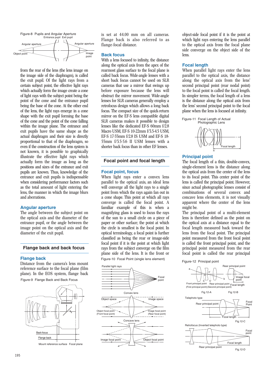

from the rear of the lens (the lens image on the image side of the diaphragm), is called the exit pupil. Of the light rays from a certain subject point, the effective light rays which actually form the image create a cone of light rays with the subject point being the point of the cone and the entrance pupil being the base of the cone. At the other end of the lens, the light rays emerge in a cone shape with the exit pupil forming the base of the cone and the point of the cone falling within the image plane. The entrance and exit pupils have the same shape as the actual diaphragm and their size is directly proportional to that of the diaphragm, so even if the construction of the lens system is not known, it is possible to graphically illustrate the effective light rays which actually form the image as long as the positions and sizes of the entrance and exit pupils are known. Thus, knowledge of the entrance and exit pupils is indispensable when considering performance factors such as the total amount of light entering the lens, the manner in which the image blurs and aberrations.

#### **Angular aperture**

The angle between the subject point on the optical axis and the diameter of the entrance pupil, or the angle between the image point on the optical axis and the diameter of the exit pupil.

#### **Flange back and back focus**

#### **Flange back**

Distance from the camera's lens mount reference surface to the focal plane (film plane). In the EOS system, flange back Figure-9 Flange Back and Back Focus



is set at 44.00 mm on all cameras. Flange back is also referred to as flange-focal distance.

#### **Back focus**

With a lens focused to infinity, the distance along the optical axis from the apex of the rearmost glass surface to the focal plane is called back focus. Wide-angle lenses with a short back focus cannot be used on SLR cameras that use a mirror that swings up before exposure because the lens will obstruct the mirror movement. Wide-angle lenses for SLR cameras generally employ a retrofocus design which allows a long back focus. The compact size of the quick-return mirror on the EF-S lens compatible digital SLR cameras makes it possible to design lenses like the dedicated EF-S 60mm f/2.8 Macro USM, EF-S 10-22mm f/3.5-4.5 USM, EF-S 17-55mm f/2.8 IS USM and EF-S 18- 55mm f/3.5-5.6 II USM lenses with a shorter back focus than in other EF lenses.

#### **Focal point and focal length**

#### **Focal point, focus**

When light rays enter a convex lens parallel to the optical axis, an ideal lens will converge all the light rays to a single point from which the rays again fan out in a cone shape. This point at which all rays converge is called the focal point. A familiar example of this is when a magnifying glass is used to focus the rays of the sun to a small circle on a piece of paper or other surface; the point at which the circle is smallest is the focal point. In optical terminology, a focal point is further classified as being the rear or image-side focal point if it is the point at which light rays from the subject converge on the film plane side of the lens. It is the front or Figure-10 Focal Point (single lens element)



object-side focal point if it is the point at which light rays entering the lens parallel to the optical axis from the focal plane side converge on the object side of the lens.

#### **Focal length**

When parallel light rays enter the lens parallel to the optical axis, the distance along the optical axis from the lens' second principal point (rear nodal point) to the focal point is called the focal length. In simpler terms, the focal length of a lens is the distance along the optical axis from the lens' second principal point to the focal plane when the lens is focused at infinity.

Figure-11 Focal Length of Actual Photographic Lens



#### **Principal point**

The focal length of a thin, double-convex, single-element lens is the distance along the optical axis from the center of the lens to its focal point. This center point of the lens is called the principal point. However, since actual photographic lenses consist of combinations of several convex and concave lens elements, it is not visually apparent where the center of the lens might be.

The principal point of a multi-element lens is therefore defined as the point on the optical axis at a distance equal to the focal length measured back toward the lens from the focal point. The principal point measured from the front focal point is called the front principal point, and the principal point measured from the rear focal point is called the rear principal

Figure-12 Principal point



Fig.12-D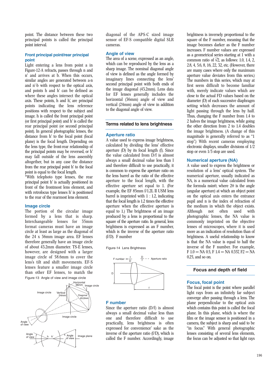point. The distance between these two principal points is called the principal point interval.

#### **Front principal point/rear principal point**

Light entering a lens from point a in Figure-12-A refracts, passes through n and n' and arrives at b. When this occurs, similar angles are generated between a-n and n'-b with respect to the optical axis, and points h and h' can be defined as where these angles intersect the optical axis. These points, h and h', are principal points indicating the lens reference positions with respect to the subject and image. h is called the front principal point (or first principal point) and h' is called the rear principal point (or second principal point). In general photographic lenses, the distance from h' to the focal point (focal plane) is the focal length. Depending on the lens type, the front-rear relationship of the principal points may be reversed, or h' may fall outside of the lens assembly altogether, but in any case the distance from the rear principal point h' to the focal point is equal to the focal length.

\*With telephoto type lenses, the rear principal point h' is actually positioned in front of the frontmost lens element, and with retrofocus type lenses h' is positioned to the rear of the rearmost lens element.

#### **Image circle**

The portion of the circular image formed by a lens that is sharp. Interchangeable lenses for 35mm format cameras must have an image circle at least as large as the diagonal of the 24 x 36mm image area. EF lenses therefore generally have an image circle of about 43.2mm diameter. TS-E lenses, however, are designed with a larger image circle of 58.6mm to cover the lens's tilt and shift movements. EF-S lenses feature a smaller image circle than other EF lenses, to match the Figure-13 Angle of view and image circle



diagonal of the APS-C sized image sensor of EF-S compatible digital SLR cameras.

#### **Angle of view**

The area of a scene, expressed as an angle, which can be reproduced by the lens as a sharp image. The nominal diagonal angle of view is defined as the angle formed by imaginary lines connecting the lens' second principal point with both ends of the image diagonal (43.2mm). Lens data for EF lenses generally includes the horizontal (36mm) angle of view and vertical (24mm) angle of view in addition to the diagonal angle of view.

#### **Terms related to lens brightness**

#### **Aperture ratio**

A value used to express image brightness, calculated by dividing the lens' effective aperture (D) by its focal length (f). Since the value calculated from D/f is almost always a small decimal value less than I and therefore difficult to use practically, it is common to express the aperture ratio on the lens barrel as the ratio of the effective aperture to the focal length, with the effective aperture set equal to 1. (For example, the EF 85mm f/1.2L II USM lens barrel is imprinted with 1 : 1.2, indicating that the focal length is 1.2 times the effective aperture when the effective aperture is equal to 1.) The brightness of an image produced by a lens is proportional to the square of the aperture ratio. In general, lens brightness is expressed as an F number, which is the inverse of the aperture ratio (f/D). F number

Figure-14 Lens Brightness



#### **F number**

Since the aperture ratio (D/f) is almost always a small decimal value less than one and therefore difficult to use practically, lens brightness is often expressed for convenience' sake as the inverse of the aperture ratio (f/D), which is called the F number. Accordingly, image brightness is inversely proportional to the square of the F number, meaning that the image becomes darker as the F number increases. F number values are expressed as a geometrical series starting at 1 with a common ratio of  $\sqrt{2}$ , as follows: 1.0, 1.4, 2. 2.8, 4, 5.6, 8, 16, 22, 32, etc. (However, there are many cases where only the maximum aperture value deviates from this series.) The numbers in this series, which may at first seem difficult to become familiar with, merely indicate values which are close to the actual FD values based on the diameter (D) of each successive diaphragm setting which decreases the amount of light passing through the lens by half. Thus, changing the F number from 1.4 to 2 halves the image brightness, while going the other direction from 2 to 1.4 doubles the image brightness. (A change of this magnitude is generally referred to as "1 stop".) With recent cameras employing electronic displays, smaller divisions of 1/2 stop or even 1/3 stop are used.

#### **Numerical aperture (NA)**

A value used to express the brightness or resolution of a lens' optical system. The numerical aperture, usually indicated as NA, is a numerical value calculated from the formula nsinθ, where 2θ is the angle (angular aperture) at which an object point on the optical axis enters the entrance pupil and n is the index of refraction of the medium in which the object exists.<br>Although not often used with not often used with photographic lenses, the NA value is commonly imprinted on the objective lenses of microscopes, where it is used more as an indication of resolution than of brightness. A useful relationship to know is that the NA value is equal to half the inverse of the F number. For example,  $F 1.0 = NA 0.5, F 1.4 = NA 0.357, F2 = NA$ 0.25, and so on.

#### **Focus and depth of field**

#### **Focus, focal point**

The focal point is the point where parallel light rays from an infinitely far subject converge after passing through a lens. The plane perpendicular to the optical axis which contains this point is called the focal plane. In this plane, which is where the film or the image sensor is positioned in a camera, the subject is sharp and said to be "in focus." With general photographic lenses consisting of several lens elements, the focus can be adjusted so that light rays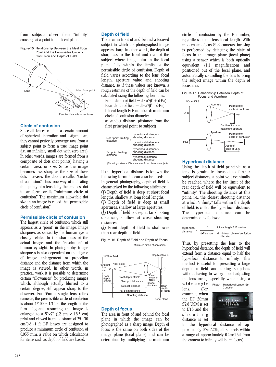from subjects closer than "infinity" converge at a point in the focal plane.



#### **Circle of confusion**

Since all lenses contain a certain amount of spherical aberration and astigmatism, they cannot perfectly converge rays from a subject point to form a true image point (i.e., an infinitely small dot with zero area). In other words, images are formed from a composite of dots (not points) having a certain area, or size. Since the image becomes less sharp as the size of these dots increases, the dots are called "circles of confusion." Thus, one way of indicating the quality of a lens is by the smallest dot it can form, or its "minimum circle of confusion." The maximum allowable dot size in an image is called the "permissible circle of confusion."

#### **Permissible circle of confusion**

The largest circle of confusion which still appears as a "point" in the image. Image sharpness as sensed by the human eye is closely related to the sharpness of the actual image and the "resolution" of human eyesight. In photography, image sharpness is also dependent on the degree of image enlargement or projection distance and the distance from which the image is viewed. In other words, in practical work it is possible to determine certain "allowances" for producing images which, although actually blurred to a certain degree, still appear sharp to the observer. For 35mm single lens reflex cameras, the permissible circle of confusion is about  $1/1000 \sim 1/1500$  the length of the film diagonal, assuming the image is enlarged to a  $5" \times 7"$  (12 cm  $\times$  16.5 cm) print and viewed from a distance of 25~30 cm/0.8~1 ft. EF lenses are designed to produce a minimum circle of confusion of 0.035 mm, a value on which calculations for items such as depth of field are based.

#### **Depth of field**

The area in front of and behind a focused subject in which the photographed image appears sharp. In other words, the depth of sharpness to the front and rear of the subject where image blur in the focal plane falls within the limits of the permissible circle of confusion. Depth of field varies according to the lens' focal length, aperture value and shooting distance, so if these values are known, a rough estimate of the depth of field can be calculated using the following formulas:

Front depth of field  $= d \cdot F \cdot a^2 / (f^2 + d \cdot F \cdot a)$ Rear depth of field  $= d \cdot F \cdot a^2/(f^2 - d \cdot F \cdot a)$ f: focal length F: F number d: minimum circle of confusion diameter a: subject distance (distance from the first principal point to subject)

| Near point limiting | hyperfocal distance $\times$<br>shooting distance         |
|---------------------|-----------------------------------------------------------|
| distance            | hyperfocal distance +<br>shooting distance                |
| Far point limiting  | hyperfocal distance $\times$<br>shooting distance         |
| distance            | hyperfocal distance -<br>shooting distance                |
|                     | (Shooting distance: Distance from focal plane to subject) |

If the hyperfocal distance is known, the following formulas can also be used: In general photography, depth of field is characterised by the following attributes: a Depth of field is deep at short focal lengths, shallow at long focal lengths. b Depth of field is deep at small apertures, shallow at large apertures. c Depth of field is deep at far shooting

distances, shallow at close shooting distances.

d Front depth of field is shallower than rear depth of field.

Figure-16 Depth of Field and Depth of Focus



#### **Depth of focus**

The area in front of and behind the focal plane in which the image can be photographed as a sharp image. Depth of focus is the same on both sides of the image plane (focal plane) and can be determined by multiplying the minimum

circle of confusion by the F number, regardless of the lens focal length. With modern autofocus SLR cameras, focusing is performed by detecting the state of focus in the image plane (focal plane) using a sensor which is both optically equivalent (1:1 magnification) and positioned out of the focal plane, and automatically controlling the lens to bring the subject image within the depth of focus area.





#### **Hyperfocal distance**

Using the depth of field principle, as a lens is gradually focused to farther subject distances, a point will eventually be reached where the far limit of the rear depth of field will be equivalent to "infinity." The shooting distance at this point, i,e., the closest shooting distance at which "infinity" falls within the depth of field, is called the hyperfocal distance. The hyperfocal distance can be determined as follows:

| Hyperfocal | f <sup>2</sup> | f: focal length F: F number                |
|------------|----------------|--------------------------------------------|
| distance   | d.F number     | d: minimum circle of confusion<br>diameter |

Thus, by presetting the lens to the hyperfocal distance, the depth of field will extend from a distance equal to half the hyperfocal distance to infinity. This method is useful for presetting a large depth of field and taking snapshots without having to worry about adjusting the lens focus, especially when using a wide-angle

example, when the EF 20mm f/2.8 USM is set to f/16 and the shooting distance is set



to the hyperfocal distance of approximately 0.7m/2.3ft, all subjects within a range of approximately 0.4m/1.3ft from the camera to infinity will be in focus.)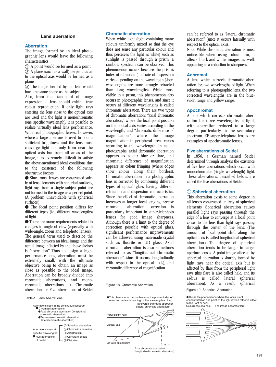#### **Lens aberration**

#### **Aberration**

The image formed by an ideal photographic lens would have the following characteristics:

 $\Omega$  A point would be formed as a point.  $\overline{2}$  A plane (such as a wall) perpendicular to the optical axis would be formed as a plane.

 $\overline{3}$  The image formed by the lens would have the same shape as the subject.

Also, from the standpoint of image expression, a lens should exhibit true colour reproduction. If only light rays entering the lens close to the optical axis are used and the light is monochromatic (one specific wavelength), it is possible to realise virtually ideal lens performance. With real photographic lenses, however, where a large aperture is used to obtain sufficient brightness and the lens must converge light not only from near the optical axis but from all areas of the image, it is extremely difficult to satisfy the above-mentioned ideal conditions due to the existence of the following obstructive factors:

● Since most lenses are constructed solely of lens elements with spherical surfaces, light rays from a single subject point are not formed in the image as a perfect point. (A problem unavoidable with spherical surfaces.)

 $\bullet$  The focal point position differs for different types (i.e., different wavelengths) of light.

 $\bullet$  There are many requirements related to changes in angle of view (especially with wide-angle, zoom and telephoto lenses). The general term used to describe the difference between an ideal image and the actual image affected by the above factors is "aberration." Thus, to design a highperformance lens, aberration must be extremely small, with the ultimate objective being to obtain an image as close as possible to the ideal image. Aberration can be broadly divided into chromatic aberrations, and monochromatic aberrations → Chromatic aberration  $\rightarrow$  Five aberrations of Seidel

Table-1 Lens Aberrations



#### **Chromatic aberration**

When white light (light containing many colours uniformly mixed so that the eye does not sense any particular colour and thus perceives the light as white) such as sunlight is passed through a prism, a rainbow spectrum can be observed. This phenomenon occurs because the prism's index of refraction (and rate of dispersion) varies depending on the wavelength (short wavelengths are more strongly refracted than long wavelengths). While most visible in a prism, this phenomenon also occurs in photographic lenses, and since it occurs at different wavelengths is called chromatic aberration. There are two types of chromatic aberration: "axial chromatic aberration," where the focal point position on the optical axis varies according to the wavelength, and "chromatic difference of<br>magnification," where the image where the image magnification in peripheral areas varies according to the wavelength. In actual photographs, axial chromatic aberration appears as colour blur or flare, and chromatic difference of magnification appears as colour fringing (where edges show colour along their borders). Chromatic aberration in a photographic lens is corrected by combining different types of optical glass having different refraction and dispersion characteristics. Since the effect of chromatic aberration increases at longer focal lengths, precise chromatic aberration correction is particularly important in super-telephoto lenses for good image sharpness. Although there is a limit to the degree of correction possible with optical glass. significant performance improvements can be achieved using man-made crystal such as fluorite or UD glass. Axial chromatic aberration is also sometimes referred to as "longitudinal chromatic aberration" (since it occurs longitudinally with respect to the optical axis), and chromatic difference of magnification

Figure-18 Chromatic Aberration



(longitudinal chromatic aberration)

can be referred to as "lateral chromatic aberration" (since it occurs laterally with respect to the optical axis).

Note: While chromatic aberration is most noticeable when using colour film, it affects black-and-white images as well, appearing as a reduction in sharpness.

#### **Achromat**

A lens which corrects chromatic aberration for two wavelengths of light. When referring to a photographic lens, the two corrected wavelengths are in the blueviolet range and yellow range.

#### **Apochromat**

A lens which corrects chromatic aberration for three wavelengths of light, with aberration reduced to a large degree particularly in the secondary spectrum. EF super-telephoto lenses are examples of apochromatic lenses.

#### **Five aberrations of Seidel**

In 1856, a German named Seidel determined through analysis the existence of five lens aberrations which occur with monochromatic (single wavelength) light. These aberrations, described below, are called the five aberrations of Seidel.

#### a **Spherical aberration**  $\mathbf{h}$

This aberration exists to some degree in all lenses constructed entirely of spherical elements. Spherical aberration causes parallel light rays passing through the edge of a lens to converge at a focal point closer to the lens than light rays passing through the center of the lens. (The amount of focal point shift along the optical axis is called longitudinal spherical aberration.) The degree of spherical aberration tends to be larger in largeaperture lenses. A point image affected by spherical aberration is sharply formed by light rays near the optical axis but is affected by flare from the peripheral light rays (this flare is also called halo, and its radius is called lateral spherical aberration). As a result, spherical

Figure-19 Spherical Aberration

VThis is the phenomenon where the focus is not concentrated on one point on the light ray but rather is offset to the front or back.<br>Occurrence of a halo--The image becomes flare.

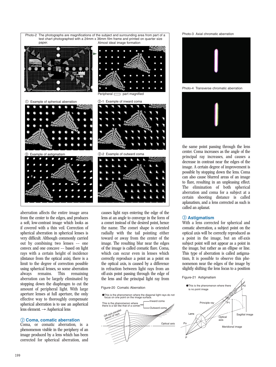

aberration affects the entire image area from the center to the edges, and produces a soft, low-contrast image which looks as if covered with a thin veil. Correction of spherical aberration in spherical lenses is very difficult. Although commonly carried out by combining two lenses –– one convex and one concave –– based on light rays with a certain height of incidence (distance from the optical axis), there is a limit to the degree of correction possible using spherical lenses, so some aberration always remains. This remaining aberration can be largely eliminated by stopping down the diaphragm to cut the amount of peripheral light. With large aperture lenses at full aperture, the only effective way to thoroughly compensate spherical aberration is to use an aspherical lens element. → Aspherical lens

#### b **Coma, comatic aberration**

Coma, or comatic aberration, is a phenomenon visible in the periphery of an image produced by a lens which has been corrected for spherical aberration, and

causes light rays entering the edge of the lens at an angle to converge in the form of a comet instead of the desired point, hence the name. The comet shape is oriented radially with the tail pointing either toward or away from the center of the image. The resulting blur near the edges of the image is called comatic flare. Coma, which can occur even in lenses which correctly reproduce a point as a point on the optical axis, is caused by a difference in refraction between light rays from an off-axis point passing through the edge of the lens and the principal light ray from

Figure-20 Comatic Aberration

VThis is the phenomenon where the diagonal light rays do not focus on one point on the image surface.



Photo-3 Axial chromatic aberration



Photo-4 Transverse chromatic aberration



the same point passing through the lens center. Coma increases as the angle of the principal ray increases, and causes a decrease in contrast near the edges of the image. A certain degree of improvement is possible by stopping down the lens. Coma can also cause blurred areas of an image to flare, resulting in an unpleasing effect. The elimination of both spherical aberration and coma for a subject at a certain shooting distance is called aplanatism, and a lens corrected as such is called an aplanat.

#### **(3)** Astigmatism

With a lens corrected for spherical and comatic aberration, a subject point on the optical axis will be correctly reproduced as a point in the image, but an off-axis subject point will not appear as a point in the image, but rather as an ellipse or line. This type of aberration is called astigmatism, It is possible to observe this phenomenon near the edges of the image by slightly shifting the lens focus to a position

#### Figure-21 Astigmatism

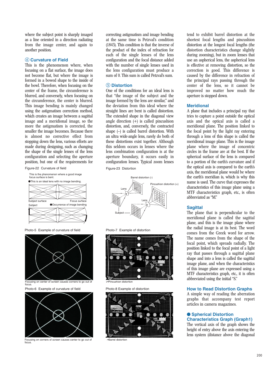where the subject point is sharply imaged as a line oriented in a direction radiating from the image center, and again to another position.

#### d **Curvature of Field**

This is the phenomenon where, when focusing on a flat surface, the image does not become flat, but where the image is formed in a bowed shape to the inside of the bowl. Therefore, when focusing on the center of the frame, the circumference is blurred, and conversely, when focusing on the circumference, the center is blurred. This image bending is mainly changed using the astigmatism correction method, which creates an image between a sagittal image and a meridional image, so the more the astigmatism is corrected, the smaller the image becomes. Because there is almost no corrective effect from stopping down the lens, various efforts are made during designing, such as changing the shape of the single lenses of the lens configuration and selecting the aperture position, but one of the requirements for

Figure-22 Curvature of field Figure-23 Distortion



Photo-5 Example of curvature of field Photo-7 Example of distortion



Focusing on center of screen causes corners to go out of focus.



Focusing on corners of screen causes center to go out of focus.

correcting astigmatism and image bending at the same time is Petzval's condition (1843). This condition is that the inverse of the product of the index of refraction for each of the single lenses of the lens configuration and the focal distance added with the number of single lenses used in the lens configuration must produce a sum of 0. This sum is called Petzval's sum.

#### e **Distortion**

One of the conditions for an ideal lens is that "the image of the subject and the image formed by the lens are similar," and the deviation from this ideal where the straight lines are bent is called distortion. The extended shape in the diagonal view angle direction  $(+)$  is called pincushion distortion, and, conversely, the contracted shape (—) is called barrel distortion. With an ultra wide-angle lens, rarely do both of these distortions exist together. Although this seldom occurs in lenses where the lens combination configuration is at the aperture boundary, it occurs easily in configuration lenses. Typical zoom lenses





Photo-6 Example of curvature of field Photo-8 Example of distortion



-•Barrel distortion

tend to exhibit barrel distortion at the shortest focal lengths and pincushion distortion at the longest focal lengths (the distortion characteristics change slightly during zooming), but in zoom lenses that use an aspherical lens, the aspherical lens is effective at removing distortion, so the correction is good. This difference is caused by the difference in refraction of the principal rays passing through the center of the lens, so it cannot be improved no matter how much the aperture is stopped down.

#### **Meridional**

A plane that includes a principal ray that tries to capture a point outside the optical axis and the optical axis is called a meridional plane. The position linked to the focal point by the light ray entering through a lens of this shape is called the meridional image plane. This is the image plane where the image of concentric circles in the frame are at the best. If the spherical surface of the lens is compared to a portion of the earth's curvature and if the optical axis is compared to the earth's axis, the meridional plane would be where the earth's meridian is, which is why this name is used. The curve that expresses the characteristics of this image plane using a MTF characteristics graph, etc., is often abbreviated as "M."

#### **Sagittal**

The plane that is perpendicular to the meridional plane is called the sagittal plane, and this is the image plane where the radial image is at its best. The word comes from the Greek word for arrow. The name comes from the shape of the focal point, which spreads radially. The position linked to the focal point of a light ray that passes through a sagittal plane shape and into a lens is called the sagittal image plane, and when the characteristics of this image plane are expressed using a MTF characteristics graph, etc., it is often abbreviated using the initial "S."

#### **How to Read Distortion Graphs**

A simple way of reading the aberration graphs that accompany test report articles in camera magazines.

#### $\bullet$  **Spherical Distortion Characteristics Graph (Graph1)**

The vertical axis of the graph shows the height of entry above the axis entering the lens system (distance above the diagonal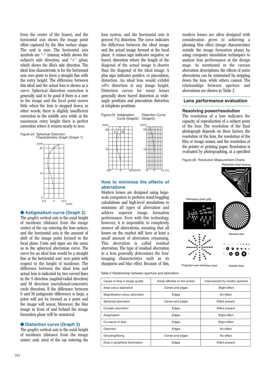from the center of the frame), and the horizontal axis shows the image point offset captured by the film surface shape. The unit is mm. The horizontal axis symbols are "—" (minus), which shows the subject's side direction, and "+" (plus), which shows the film's side direction. The ideal lens characteristic is for the horizontal axis zero point to form a straight line with the entry height. The difference between this ideal and the actual lens is shown as a curve. Spherical distortion correction is generally said to be good if there is a core in the image and the focal point moves little when the lens is stopped down, in other words, there is slightly insufficient correction in the middle area while at the maximum entry height there is perfect correction where it returns nearly to zero.

### Figure-24 Spherical Distortion Characteristics Graph (Graph 1)



### ● Astigmatism curve (Graph 2)

The graph's vertical axis is the axial height of incidence (distance from the image center) of the ray entering the lens system, and the horizontal axis is the amount of shift of the image point formed in the focal plane. Units and signs are the same as in the spherical aberration curve. The curve for an ideal lens would be a straight line at the horizontal axis' zero point with respect to the height of incidence. The difference between the ideal lens and actual lens is indicated by two curved lines in the S direction (sagittal/radial direction) and M direction (meridional/concentric circle direction). If the difference between S and M (astigmatic difference) is large, a point will not be formed as a point and the image will smear. Moreover, the blur image in front of and behind the image formation plane will be unnatural.

#### ● Distortion curve (Graph 3)

The graph's vertical axis is the axial height of incidence (distance from the image center; unit: mm) of the ray entering the

lens system, and the horizontal axis is percent  $(%)$  distortion. The curve indicates the difference between the ideal image and the actual image formed at the focal plane. A minus sign indicates negative, or barrel, distortion where the length of the diagonal of the actual image is shorter than the diagonal of the ideal image. A plus sign indicates positive, or pincushion, distortion. An ideal lens would exhibit ±0% distortion at any image height. Distortion curves for zoom lenses generally show barrel distortion at wideangle positions and pincushion distortion at telephoto positions. blus sign indicates positive,<br>
listortion. An ideal lens<br>  $\pm 0\%$  distortion at any i<br>
Distortion curves for<br>
generally show barrel disto<br>
angle positions and pincus<br>
angle positions and pincus<br>
angle positions.<br>
Eigure-



#### **How to minimise the effects of aberrations**

Modern lenses are designed using largescale computers to perform mind-boggling calculations and high-level simulations to minimise all types of aberration and achieve superior image formation performance. Even with this technology, however, it is impossible to completely remove all aberrations, meaning that all lenses on the market still have at least a small amount of aberration remaining. This aberration is called residual aberration. The type of residual aberration in a lens generally determines the lens' imaging characteristics such as its sharpness and blur effect. Because of this,

Table-2 Relationship between aperture and aberration

| Cause of drop in image quality  | Areas affected on the screen | Improvement by smaller aperture |
|---------------------------------|------------------------------|---------------------------------|
| Axial colour aberration         | Center and edges             | Slight effect                   |
| Magnification colour aberration | Edges                        | No effect                       |
| Spherical aberration            | Center and edges             | <b>Effect present</b>           |
| Comatic aberration              | Edges                        | <b>Effect present</b>           |
| Astigmatism                     | Edges                        | Slight effect                   |
| Curvature of field              | Edges                        | Slight effect                   |
| <b>Distortion</b>               | Edges                        | No effect                       |
| Ghosting/flaring                | Center and edges             | No effect                       |
| Drop in peripheral illumination | Edges                        | <b>Effect present</b>           |

modern lenses are often designed with consideration given to achieving a pleasing blur effect (image characteristics outside the image formation plane) by using computer simulation techniques to analyze lens performance at the design stage. As mentioned in the various aberration descriptions, the effects of some aberrations can be minimised by stopping down the lens, while others cannot. The relationships between aperture and aberrations are shown in Table 2.

#### **Lens performance evaluation**

#### **Resolving power/resolution**

The resolution of a lens indicates the capacity of reproduction of a subject point of the lens. The resolution of the final photograph depends on three factors: the resolution of the lens, the resolution of the film or image sensor, and the resolution of the printer or printing paper. Resolution is evaluated by photographing, at a specified

Figure-26 Resolution Measurement Charts

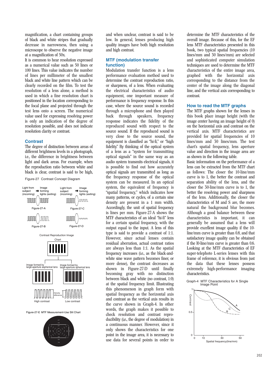magnification, a chart containing groups of black and white stripes that gradually decrease in narrowness, then using a microscope to observe the negative image at a magnification of 50x.

It is common to hear resolution expressed as a numerical value such as 50 lines or 100 lines. This value indicates the number of lines per millimeter of the smallest black and white line pattern which can be clearly recorded on the film. To test the resolution of a lens alone, a method is used in which a fine resolution chart is positioned in the location corresponding to the focal plane and projected through the test lens onto a screen. The numerical value used for expressing resolving power is only an indication of the degree of resolution possible, and does not indicate resolution clarity or contrast.

#### **Contrast**

The degree of distinction between areas of different brightness levels in a photograph, i.e., the difference in brightness between light and dark areas. For example, when the reproduction ratio between white and black is clear, contrast is said to be high,





Figure-27-E MTF Measurement-Use Slit Chart



and when unclear, contrast is said to be low. In general, lenses producing high quality images have both high resolution and high contrast.

#### **MTF (modulation transfer function)**

Modulation transfer function is a lens performance evaluation method used to determine the contrast reproduction ratio, or sharpness, of a lens. When evaluating the electrical characteristics of audio equipment, one important measure of performance is frequency response. In this case, where the source sound is recorded through a microphone and then played back through speakers, frequency response indicates the fidelity of the reproduced sound with respect to the source sound. If the reproduced sound is very close to the source sound, the equipment is classified as "hi-fi," or "high fidelity." By thinking of the optical system of a lens as a "system for transmitting optical signals" in the same way as an audio system transmits electrical signals, it is possible to find out how accurately optical signals are transmitted as long as the frequency response of the optical system can be measured. In an optical system, the equivalent of frequency is "spatial frequency," which indicates how many patterns, or cycles, of a certain sine density are present in a 1 mm width. Accordingly, the unit of spatial frequency is lines per mm. Figure-27-A shows the MTF characteristics of an ideal "hi-fi" lens for a certain spatial frequency, with the output equal to the input. A lens of this type is said to provide a contrast of 1:1. However, since actual lenses contain residual aberration, actual contrast ratios are always less than 1:1. As the spatial frequency increases (i.e., as the black-andwhite sine wave pattern becomes finer, or more dense), the contrast decreases as shown in Figure-27-D until finally becoming gray with no distinction between black and white (no contrast, 1:0) at the spatial frequency limit. Illustrating this phenomenon in graph form with spatial frequency as the horizontal axis and contrast as the vertical axis results in the curve shown in Graph-4. In other words, the graph makes it possible to check resolution and contrast reproducibility (i.e., the degree of modulation) in a continuous manner. However, since it only shows the characteristics for one point in the image area, it is necessary to use data for several points in order to

determine the MTF characteristics of the overall image. Because of this, for the EF lens MTF characteristics presented in this book, two typical spatial frequencies (10 lines/mm and 30 lines/mm) are selected and sophisticated computer simulation techniques are used to determine the MTF characteristics of the entire image area, graphed with the horizontal axis corresponding to the distance from the center of the image along the diagonal line, and the vertical axis corresponding to contrast.

#### **How to read the MTF graphs**

The MTF graphs shown for the lenses in this book place image height (with the image center having an image height of 0) on the horizontal axis and contrast on the vertical axis. MTF characteristics are provided for spatial frequencies of 10 lines/mm and 30 lines/mm. The test chart's spatial frequency, lens aperture value and direction in the image area are as shown in the following table.

Basic information on the performance of a lens can be extracted from the MTF chart as follows: The closer the 10-line/mm curve is to 1, the better the contrast and separation ability of the lens, and the closer the 30-line/mm curve is to 1, the better the resolving power and sharpness of the lens. Additionally, the closer the characteristics of M and S are, the more natural the background blur becomes. Although a good balance between these characteristics is important, it can generally be assumed that a lens will provide excellent image quality if the 10 line/mm curve is greater than 0.8, and that satisfactory image quality can be obtained if the l0-line/mm curve is greater than 0.6. Looking at the MTF characteristics of EF super-telephoto L-series lenses with this frame of reference, it is obvious from just the data that these lenses possess extremely high-performance imaging characteristics.

Graph-4 MTF Characteristics for A Single Image Point

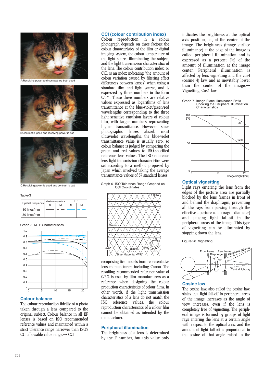

A:Resolving power and contrast are both good



B:Contrast is good and resolving power is bad



C:Resolving power is good and contrast is bad

#### Table-3

| Spatial frequency | Maximum aperture |   | я |
|-------------------|------------------|---|---|
|                   | м                | S | м |
| 10 lines/mm       |                  |   |   |
| 30 lines/mm       |                  |   |   |

#### Graph-5 MTF Characteristics



#### **Colour balance**

The colour reproduction fidelity of a photo taken through a lens compared to the original subject. Colour balance in all EF lenses is based on ISO recommended reference values and maintained within a strict tolerance range narrower than ISO's CCI allowable value range.→ CCI

#### **CCI (colour contribution index)**

Colour reproduction in a colour photograph depends on three factors: the colour characteristics of the film or digital imaging system, the colour temperature of the light source illuminating the subject, and the light transmission characteristics of the lens. The colour contribution index, or CCI, is an index indicating "the amount of colour variation caused by filtering effect differences between lenses" when using a standard film and light source, and is expressed by three numbers in the form 0/5/4. These three numbers are relative values expressed as logarithms of lens transmittance at the blue-violet/green/red wavelengths corresponding to the three light sensitive emulsion layers of colour film, with larger numbers representing higher transmittance. However, since photographic lenses absorb most ultraviolet wavelengths, the blue-violet transmittance value is usually zero, so colour balance is judged by comparing the green and red values to ISO-specified reference lens values. The ISO reference lens light transmission characteristics were set according to a method proposed by Japan which involved taking the average transmittance values of 57 standard lenses

Graph-6 ISO Tolerance Range Graphed on CCI Coordinates



comprising five models from representative lens manufacturers including Canon. The resulting recommended reference value of 0/5/4 is used by film manufacturers as a reference when designing the colour production characteristics of colour films. In other words, if the light transmission characteristics of a lens do not match the ISO reference values, the colour reproduction characteristics of a colour film cannot be obtained as intended by the manufacturer.

#### **Peripheral illumination**

The brightness of a lens is determined by the F number, but this value only indicates the brightness at the optical axis position, i.e., at the center of the image. The brightness (image surface illuminance) at the edge of the image is called peripheral illumination and is expressed as a percent  $(%)$  of the amount of illumination at the image center. Peripheral illumination is affected by lens vignetting and the cos4 (cosine 4) law and is inevitably lower than the center of the image.→ Vignetting, Cos4 law

#### Graph-7 Image Plane Illuminance Ratio Showing the Peripheral Illumination **Characteristics**



#### **Optical vignetting**

Light rays entering the lens from the edges of the picture area are partially blocked by the lens frames in front of and behind the diaphragm, preventing all the rays from passing through the effective aperture (diaphragm diameter) and causing light fall-off in the peripheral areas of the image. This type of vignetting can be eliminated by stopping down the lens. From Front frame Rear frame<br>Front frame Rear frame Rear frame<br>Front frame Rear frame<br>Front frame Rear frame<br>Front frame Rear frame<br>Front frame Rear frame

Figure-28 Vignetting



#### **Cosine law**

The cosine law, also called the cosine law, states that light fall-off in peripheral areas of the image increases as the angle of view increases, even if the lens is completely free of vignetting. The peripheral image is formed by groups of light rays entering the lens at a certain angle with respect to the optical axis, and the amount of light fall-off is proportional to the cosine of that angle raised to the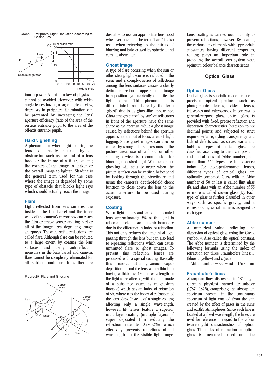#### Graph-8 Peripheral Light Reduction According to Cosine Law



fourth power. As this is a law of physics, it cannot be avoided. However, with wideangle lenses having a large angle of view, decreases in peripheral illumination can be prevented by increasing the lens' aperture efficiency (ratio of the area of the on-axis entrance pupil to the area of the off-axis entrance pupil).

#### **Hard vignetting**

A phenomenon where light entering the lens is partially blocked by an obstruction such as the end of a lens hood or the frame of a filter, causing the corners of the image to darken or the overall image to lighten. Shading is the general term used for the case where the image is degraded by some type of obstacle that blocks light rays which should actually reach the image.

#### **Flare**

Light reflected from lens surfaces, the inside of the lens barrel and the inner walls of the camera's mirror box can reach the film or image sensor and fog part or all of the image area, degrading image sharpness. These harmful reflections are called flare. Although flare can be reduced to a large extent by coating the lens surfaces and using anti-reflection measures in the lens barrel and camera, flare cannot be completely eliminated for all subject conditions. It is therefore

#### Figure-29 Flare and Ghosting



desirable to use an appropriate lens hood whenever possible. The term "flare" is also used when referring to the effects of blurring and halo caused by spherical and comatic aberration.

#### **Ghost image**

A type of flare occurring when the sun or other strong light source is included in the scene and a complex series of reflections among the lens surfaces causes a clearly defined reflection to appear in the image in a position symmetrically opposite the light source. This phenomenon is differentiated from flare by the term "ghost" due to its ghost-like appearance. Ghost images caused by surface reflections in front of the aperture have the same shape as the aperture, while a ghost image caused by reflections behind the aperture appears as an out-of-focus area of light fogging. Since ghost images can also be caused by strong light sources outside the picture area, use of a hood or other shading device is recommended for blocking undesired light. Whether or not ghosting will actually occur when the picture is taken can be verified beforehand by looking through the viewfinder and using the camera's depth-of-field check function to close down the lens to the actual aperture to be used during exposure.

#### **Coating**

When light enters and exits an uncoated lens, approximately 5% of the light is reflected back at each lens-air boundary due to the difference in index of refraction. This not only reduces the amount of light passing through the lens but can also lead to repeating reflections which can cause unwanted flare or ghost images. To prevent this reflection, lenses are processed with a special coating. Basically this is carried out using vacuum vapor deposition to coat the lens with a thin film having a thickness 1/4 the wavelength of the light to be affected, with the film made of a substance (such as magnesium fluoride) which has an index of refraction of √n, where n is the index of refraction of the lens glass. Instead of a single coating affecting only a single wavelength, however, EF lenses feature a superior multi-layer coating (multiple layers of vapor deposited film reducing the reflection rate to  $0.2 \sim 0.3\%$  which effectively prevents reflections of all wavelengths in the visible light range.

Lens coating is carried out not only to prevent reflections, however. By coating the various lens elements with appropriate substances having different properties, coating plays an important role in providing the overall lens system with optimum colour balance characteristics.

#### **Optical Glass**

#### **Optical Glass**

Optical glass is specially made for use in precision optical products such as photographic lenses, video lenses, telescopes and microscopes. In contrast to general-purpose glass, optical glass is provided with fixed, precise refraction and dispersion characteristics (precision to six decimal points) and subjected to strict requirements regarding transparency and lack of defects such as striae, warps and bubbles. Types of optical glass are classified according to their composition and optical constant (Abbe number), and more than 250 types are in existence today. For high-performance lenses, different types of optical glass are optimally combined. Glass with an Abbe number of 50 or less is called flint glass (F), and glass with an Abbe number of 55 or more is called crown glass (K). Each type of glass is further classified in other ways such as specific gravity, and a corresponding serial name is assigned to each type.

#### **Abbe number**

A numerical value indicating the dispersion of optical glass, using the Greek symbol ν. Also called the optical constant. The Abbe number is determined by the following formula using the index of refraction for three Fraunhofer's lines: F (blue), d (yellow) and c (red).

Abbe number =  $vd$  =  $nd - 1/nF$  – nc

#### **Fraunhofer's lines**

Absorption lines discovered in 1814 by a German physicist named Fraunhofer (1787~1826), comprising the absorption spectrum present in the continuous spectrum of light emitted from the sun created by the effect of gases in the sun's and earth's atmospheres. Since each line is located at a fixed wavelength, the lines are used for reference in regard to the colour (wavelength) characteristics of optical glass. The index of refraction of optical glass is measured based on nine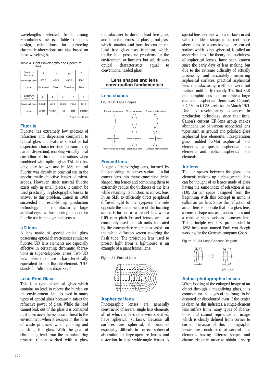wavelengths selected from among Fraunhofer's lines (see Table 4). In lens design, calculations for correcting chromatic aberrations are also based on these wavelengths.

Table-4 Light Wavelengths and Spectrum

| Table-4 Light Wavelengths and Spectrum | Lines        |        |       |             |                           | characteristics<br>optical<br>equal                          |
|----------------------------------------|--------------|--------|-------|-------------|---------------------------|--------------------------------------------------------------|
| Spectrum<br>line code                  |              | h      |       | g           | F                         | conventional leaded glass.                                   |
| Wavelength (mm)                        | 365,0        | 404.7  |       | 435.8       | 486.1                     | Lens shapes and lens                                         |
| Colour                                 | Ultra-violet | Violet |       | Blue-violet | Blue                      | construction fundamentals                                    |
|                                        |              |        |       |             |                           |                                                              |
| Spectrum<br>line code                  | e            | d      | c.    | r           | $\ddagger$                | Lens shapes                                                  |
| Wavelength (mm)                        | 546,1        | 587.6  | 656.3 | 706.5       | 1014                      | Figure-30 Lens Shapes                                        |
| Colour                                 | Green        | Yellow | Red   | Red         | Infrared                  | Convex meniscus lens<br>Plane-convex lens<br>Biconvex lenses |
|                                        |              |        |       |             | Note: 1 nm = $10^{-6}$ mm |                                                              |
| Fluorite                               |              |        |       |             |                           |                                                              |

#### **Fluorite**

Fluorite has extremely low indexes of refraction and dispersion compared to optical glass and features special partial dispersion characteristics (extraordinary partial dispersion), enabling virtually ideal correction of chromatic aberrations when combined with optical glass. This fact has long been known, and in 1880 natural fluorite was already in practical use in the apochromatic objective lenses of microscopes. However, since natural fluorite exists only in small pieces, it cannot be used practically in photographic lenses. In answer to this problem, Canon in 1968 succeeded in establishing production technology for manufacturing large artificial crystals, thus opening the door for fluorite use in photographic lenses.

#### **UD lens**

A lens made of special optical glass possessing optical characteristics similar to fluorite. UD lens elements are especially effective in correcting chromatic aberrations in super-telephoto lenses. Two UD lens elements are characteristically equivalent to one fluorite element. "UD" stands for "ultra-low dispersion."

#### **Lead-Free Glass**

This is a type of optical glass which contains no lead, to relieve the burden on the environment. Lead is used in many types of optical glass because it raises the refractive power of glass. While the lead cannot leak out of the glass it is contained in, it does nevertheless pose a threat to the environment when it escapes in the form of waste produced when grinding and polishing the glass. With the goal of eliminating lead from the manufacturing process, Canon worked with a glass manufacturer to develop lead free glass, and is in the process of phasing out glass which contains lead from its lens lineup. Lead free glass uses titanium, which, unlike lead, poses no problems for the environment or humans, but still delivers optical characteristics equal to conventional leaded glass.

#### **Lens shapes and lens construction fundamentals**

#### **Lens shapes**



#### **Fresnel lens**

A type of converging lens, formed by finely dividing the convex surface of a flat convex lens into many concentric circleshaped ring lenses and combining them to extremely reduce the thickness of the lens while retaining its function as convex lens. In an SLR, to efficiently direct peripheral diffused light to the eyepiece, the side opposite the matte surface of the focusing screen is formed as a fresnel lens with a 0.05 mm pitch Fresnel lenses are also commonly used in flash units, indicated by the concentric circular lines visible on the white diffusion screen covering the flash tube. The projection lens used to project light from a lighthouse is an example of a giant fresnel lens.

Figure-31 Fresnel Lens



#### **Aspherical lens**

Photographic lenses are generally constructed of several single lens elements, all of which, unless otherwise specified, have spherical surfaces. Because all surfaces are spherical, it becomes especially difficult to correct spherical aberration in large-aperture lenses and distortion in super-wide-angle lenses. A

special lens element with a surface curved with the ideal shape to correct these aberrations, i.e., a lens having a free-curved surface which is not spherical, is called an aspherical lens. The theory and usefulness of aspherical lenses. have been known since the early days of lens making, but due to the extreme difficulty of actually processing and accurately measuring aspherical surfaces, practical aspherical lens manufacturing methods were not realised until fairly recently. The first SLR photographic lens to incorporate a large diameter aspherical lens was Canon's FD 55mm f/1.2AL released in March 1971. Due to revolutionary advances in production technology since that time, Canon's current EF lens group makes abundant use of various aspherical lens types such as ground and polished glass aspherical lens elements, ultra-precision glass molded (GMo) aspherical lens elements, composite aspherical lens elements and replica aspherical lens elements.

#### **Air lens**

The air spaces between the glass lens elements making up a photographic lens can be thought of as lenses made of glass having the same index of refraction as air (1.0). An air space designed from the beginning with this concept in mind is called an air lens. Since the refraction of an air lens is opposite that of a glass lens, a convex shape acts as a concave lens and a concave shape acts as a convex lens. This principle was first propounded in 1898 by a man named Emil von Hoegh working for the German company Goerz.

Figure-32 Air Lens Concept Diagram



#### **Actual photographic lenses**

When looking at the enlarged image of an object through a magnifying glass, it is common for the edges of the image to be distorted or discoloured even if the center is clear. As this indicates, a single-element lens suffers from many types of aberrations and cannot reproduce an image which is clearly defined from corner to corner. Because of this, photographic lenses are constructed of several lens elements having different shapes and characteristics in order to obtain a sharp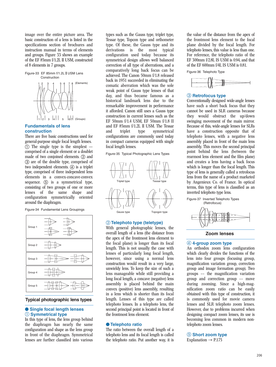image over the entire picture area. The basic construction of a lens is listed in the specifications section of brochures and instruction manual in terms of elements and groups. Figure 33 shows an example of the EF 85mm f/1.2L II USM, constructed of 8 elements in 7 groups. tions section of brown<br>
on manual in terms<br>
ups. Figure 33 shows<br>
F 85mm f/1.2L II USM<br>
nents in 7 groups.<br>  $B = 85$ mm f/1.2L II USI<br>
Construction<br>  $\begin{bmatrix} 2 & 3 & 4 \\ 1 & 1 & 5 \\ 1 & 1 & 1 \end{bmatrix}$ 

#### Figure-33 EF 85mm f/1.2L II USM Lens Construction



#### **Fundamentals of lens construction**

There are five basic constructions used for general-purpose single focal length lenses.  $\Omega$  The single type is the simplest comprised of a single element or a doublet made of two conjoined elements.  $(2)$  and (3) are of the double type, comprised of two independent elements.  $\overline{a}$  is a triplet type, comprised of three independent lens elements in a convex-concave-convex sequence.  $(5)$  is a symmetrical type, consisting of two groups of one or more lenses of the same shape and configuration symmetrically oriented around the diaphragm.

Figure-34 Fundamental Lens Groupings



#### **Typical photographic lens types**

#### V **Single focal length lenses 1** Symmetrical type

In this type of lens, the lens group behind the diaphragm has nearly the same configuration and shape as the lens group in front of the diaphragm. Symmetrical lenses are further classified into various types such as the Gauss type, triplet type, Tessar type, Topcon type and orthometer type. Of these, the Gauss type and its derivations is the most typical configuration used today because its symmetrical design allows well balanced correction of all type of aberrations, and a comparatively long back focus can be achieved. The Canon 50mm f/1.8 released back in 1951 succeeded in eliminating the comatic aberration which was the sole weak point of Gauss type lenses of that day, and thus became famous as a historical landmark lens due to the remarkable improvement in performance it afforded. Canon still uses a Gauss type construction in current lenses such as the EF 50mm f/1.4 USM, EF 50mm f/1.8 II and EF 85mm f/1.2L II USM. The Tessar and triplet type symmetrical configurations are commonly used today in compact cameras equipped with single focal length lenses.

Figure-35 Typical Photographic Lens Types



#### b **Telephoto type (teletype)**

With general photographic lenses, the overall length of a lens (the distance from the apex of the frontmost lens element to the focal plane) is longer than its focal length. This is not usually the case with lenses of particularly long focal length, however, since using a normal lens construction would result in a very large, unwieldy lens. To keep the size of such a lens manageable while still providing a long focal length, a concave (negative) lens assembly is placed behind the main convex (positive) lens assembly, resulting in a lens which is shorter than its focal length. Lenses of this type are called telephoto lenses. In a telephoto lens, the second principal point is located in front of the frontmost lens element.

#### V **Telephoto ratio**

The ratio between the overall length of a telephoto lens and its focal length is called the telephoto ratio. Put another way, it is

the value of the distance from the apex of the frontmost lens element to the focal plane divided by the focal length. For telephoto lenses, this value is less than one. For reference, the telephoto ratio of the EF 300mm f/2.8L IS USM is 0.94, and that of the EF 600mm f/4L IS USM is 0.81.

Figure-36 Telephoto Type



#### **(3) Retrofocus type**

Conventionally designed wide-angle lenses have such a short back focus that they cannot be used in SLR cameras because they would obstruct the up/down swinging movement of the main mirror. Because of this, wide-angle lenses for SLRs have a construction opposite that of telephoto lenses, with a negative lens assembly placed in front of the main lens assembly. This moves the second principal point behind the lens (between the rearmost lens element and the film plane) and creates a lens having a back focus which is longer than the focal length. This type of lens is generally called a retrofocus lens from the name of a product marketed by Angenieux Co. of France. In optical terms, this type of lens is classified as an inverted telephoto type lens.



#### **Zoom lenses**

#### d **4-group zoom type**

An orthodox zoom lens configuration which clearly divides the functions of the lens into four groups (focusing group, magnification variation group, correction group and image formation group). Two groups –– the magnification variation group and correction group –– move during zooming. Since a high-magnification zoom ratio can be easily obtained with this type of construction, it is commonly used for movie camera lenses and SLR telephoto zoom lenses. However, due to problems incurred when designing compact zoom lenses, its use is becoming less common in modern nontelephoto zoom lenses.

### **(5) Short zoom type**

Explanation  $\rightarrow$  P.175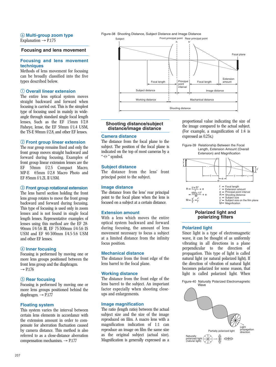## **6 Multi-group zoom type**

Explanation  $\rightarrow$  P.175

#### **Focusing and lens movement**

#### **Focusing and lens movement techniques**

Methods of lens movement for focusing can be broadly classified into the five types described below.

#### a **Overall linear extension**

The entire lens optical system moves straight backward and forward when focusing is carried out. This is the simplest type of focusing used in mainly in wideangle through standard single focal length lenses, Such as the EF 15mm f/2.8 Fisheye, lense, the EF 50mm f/1.4 USM, the TS-E 90mm f/2.8, and other EF lenses.

#### b **Front group linear extension**

The rear group remains fixed and only the front group moves straight backward and forward during focusing. Examples of front group linear extension lenses are the EF 50mm f/2.5 Compact Macro, MP-E 65mm f/2.8 Macro Photo and EF 85mm f/1.2L II USM.

#### **(3) Front group rotational extension**

The lens barrel section holding the front lens group rotates to move the front group backward and forward during focusing. This type of focusing is used only in zoom lenses and is not found in single focal length lenses. Representative examples of lenses using this method are the EF 28- 90mm f/4-5.6 III, EF 75-300mm f/4-5.6 IS USM and EF 90-300mm f/4.5-5.6 USM and other EF lenses.

#### d **Inner focusing**

Focusing is performed by moving one or more lens groups positioned between the front lens group and the diaphragm.  $\rightarrow$  P.176

#### **6** Rear focusing

Focusing is performed by moving one or more lens groups positioned behind the diaphragm.  $\rightarrow$  P.177

#### **Floating system**

This system varies the interval between certain lens elements in accordance with the extension amount in order to compensate for aberration fluctuation caused by camera distance. This method is also referred to as a close-distance aberration compensation mechanism. → P.177





#### **Shooting distance/subject distance/image distance**

#### **Camera distance**

The distance from the focal plane to the subject. The position of the focal plane is indicated on the top of most cameras by a " $\ominus$ " symbol.

#### **Subject distance**

The distance from the lens' front principal point to the subject.

#### **Image distance**

The distance from the lens' rear principal point to the focal plane when the lens is focused on a subject at a certain distance.

#### **Extension amount**

With a lens which moves the entire optical system backward and forward during focusing, the amount of lens movement necessary to focus a subject at a limited distance from the infinity focus position.

#### **Mechanical distance**

The distance from the front edge of the lens barrel to the focal plane.

#### **Working distance**

The distance from the front edge of the lens barrel to the subject. An important factor especially when shooting closeups and enlargements.

#### **Image magnification**

The ratio (length ratio) between the actual subject size and the size of the image reproduced on film. A macro lens with a magnification indication of 1:1 can reproduce an image on film the same size as the original subject (actual size). Magnification is generally expressed as a

proportional value indicating the size of the image compared to the actual subject. (For example, a magnification of 1:4 is expressed as 0.25x.)

Figure-39 Relationship Between the Focal Length, Extension Amount (Overall Extension) and Magnification



#### **Polarized light and polarizing filters**

#### **Polarized light**

Since light is a type of electromagnetic wave, it can be thought of as uniformly vibrating in all directions in a plane perpendicular to the direction of propagation. This type of light is called natural light (or natural polarized light). If the direction of vibration of natural light becomes polarized for some reason, that light is called polarized light. When

Figure-40 Naturally Polarized Electromagnetic

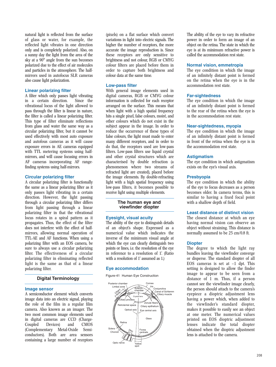natural light is reflected from the surface of glass or water, for example, the reflected light vibrates in one direction only and is completely polarized. Also, on a sunny day the light from the area of the sky at a 90° angle from the sun becomes polarized due to the effect of air molecules and particles in the atmosphere. The halfmirrors used in autofocus SLR cameras also cause light polarization.

#### **Linear polarizing filter**

A filter which only passes light vibrating in a certain direction. Since the vibrational locus of the light allowed to pass through the filter is linear in nature, the filter is called a linear polarizing filter. This type of filter eliminate reflections from glass and water the same way as a circular polarizing filter, but it cannot be used effectively with most auto exposure and autofous cameras as it will cause exposure errors in AE cameras equipped with TTL metering systems using halfmirrors, and will cause focusing errors in AF cameras incorporating AF rangefinding systems using half-mirrors.

#### **Circular polarizing filter**

A circular polarizing filter is functionally the same as a linear polarizing filter as it only passes light vibrating in a certain direction. However, the light passing through a circular polarizing filter differs from light passing through a linear polarizing filter in that the vibrational locus rotates in a spiral pattern as it propagates. Thus, the effect of the filter does not interfere with the effect of halfmirrors, allowing normal operation of TTL-AE and AF functions. When using a polarizing filter with an EOS camera, be sure to always use a circular polarizing filter. The effectiveness of a circular polarizing filter in eliminating reflected light is the same as that of a linear polarizing filter.

#### **Image sensor**

A semiconductor element which converts image data into an electric signal, playing the role of the film in a regular film camera. Also known as an imager. The two most common image elements used in digital cameras are CCD (Charge-Coupled Devices) and CMOS (Complementary Metal-Oxide Semiconductors). Both are area sensors containing a large number of receptors (pixels) on a flat surface which convert variations in light into electric signals. The higher the number of receptors, the more accurate the image reproduction is. Since these receptors are only sensitive to brightness and not colour, RGB or CMYG colour filters are placed before them in order to capture both brightness and colour data at the same time.

#### **Low-pass filter**

With general image elements used in digital cameras, RGB or CMYG colour information is collected for each receptor arranged on the surface. This means that when light with a high spatial frequency hits a single pixel, false colours, moiré, and other colours which do not exist in the subject appear in the image. In order to reduce the occurrence of these types of false colours, the light must made to enter many different receptors, and in order to do that, the receptors used are low-pass filters. Low-pass filters use liquid crystal and other crystal structures which are characterised by double refraction (a phenomenon where two streams of refracted light are created), placed before the image elements. By double-refracting light with a high spatial frequency using low-pass filters, it becomes possible to receive light using multiple elements.

#### **The human eye and viewfinder diopter**

#### **Eyesight, visual acuity**

The ability of the eye to distinguish details of an object's shape. Expressed as a numerical value which indicates the inverse of the minimum visual angle at which the eye can clearly distinguish two points or lines, i.e. the resolution of the eye in reference to a resolution of 1'. (Ratio with a resolution of 1' assumed as 1.)

#### **Eye accommodation**

**Digital Terminology** Figure-41 Human Eye Construction



The ability of the eye to vary its refractive power in order to form an image of an object on the retina. The state in which the eye is at its minimum refractive power is called the accommodation rest state.

#### **Normal vision, emmetropia**

The eye condition in which the image of an infinitely distant point is formed on the retina when the eye is in the accommodation rest state.

#### **Far-sightedness**

The eye condition in which the image of an infinitely distant point is formed to the rear of the retina when the eye is in the accommodation rest state.

#### **Near-sightedness, myopia**

The eye condition in which the image of an infinitely distant point is formed in front of the retina when the eye is in the accommodation rest state.

#### **Astigmatism**

The eve condition in which astigmatism exists on the eye's visual axis.

#### **Presbyopia**

The eye condition in which the ability of the eye to focus decreases as a person becomes older. In camera terms, this is similar to having a fixed focal point with a shallow depth of field.

#### **Least distance of distinct vision**

The closest distance at which an eye having normal vision can observe an object without straining. This distance is normally assumed to be 25 cm/0.8 ft.

#### **Diopter**

The degree to which the light ray bundles leaving the viewfinder converge or disperse. The standard diopter of all EOS cameras is set at —1 dpt. This setting is designed to allow the finder image to appear to be seen from a distance of 1 m. Thus, if a person cannot see the viewfinder image clearly, the person should attach to the camera's eyepiece a dioptric adjustment lens having a power which, when added to the viewfinder's standard diopter, makes it possible to easily see an object at one meter. The numerical values printed on EOS dioptric adjustment lenses indicate the total diopter obtained when the dioptric adjustment lens is attached to the camera.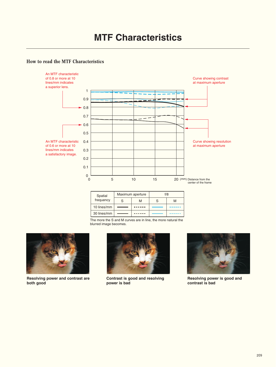### **How to read the MTF Characteristics**



| Spatial     | Maximum aperture | f/8 |   |  |
|-------------|------------------|-----|---|--|
| frequency   | M                |     | M |  |
| 10 lines/mm |                  |     |   |  |
| 30 lines/mm |                  |     |   |  |

The more the S and M curves are in line, the more natural the blurred image becomes.



**Resolving power and contrast are both good**



**Contrast is good and resolving power is bad**



**Resolving power is good and contrast is bad**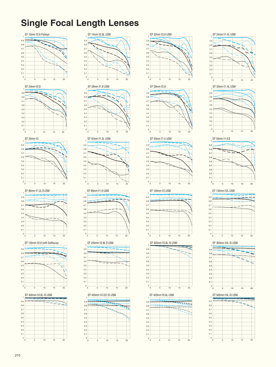# **Single Focal Length Lenses**











EF 400mm f/2.8L IS USM 0.9 0.8 0.7 0.6 0.5 0.4 0.3 0.2  $0.1$  $\circ$ 

























EF 400mm f/5.6L USM  $\,$  1 чH.

| 0.9            |          | --      |    |    |
|----------------|----------|---------|----|----|
| 0.8            |          |         |    |    |
| 0.7            |          |         |    |    |
| 0.6            |          |         |    |    |
| 0.5            |          |         |    |    |
| 0.4            |          |         |    |    |
| 0.3            |          |         |    |    |
| 0.2            |          |         |    |    |
| 0.1            |          |         |    |    |
| $\overline{0}$ | $\Omega$ | 10<br>5 | 15 | 20 |

T





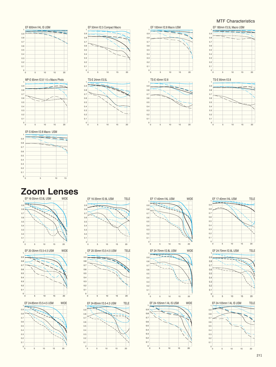





# 0.9 0.8 0.6 0.5 0.3 0.2







#### MTF Characteristics

























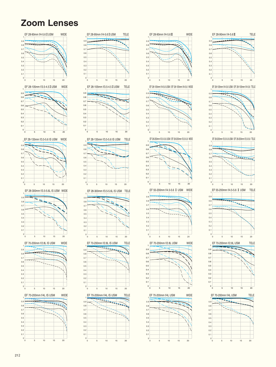











EF 28-90mm f/4-5.6 II USM TELE

EF 28-105mm f/3.5-4.5 USM TELE

 $15$  $20$ 

 $10$ 

 $\overline{10}$ 

 $10$ 

₹

 $\overline{5}$ 

 $\epsilon$ 

0.5 0.4 0.3 0.2

 $0.1$ 

 $\overline{0}$ 

'n

0.9 0.8 0.7 0.6 0.5 0.4 0.3

 $0.2$ 

 $0.1$ 

 $\circ$ 

0.6 0.7  $0.8$  $0.9$ 

0.5 0.4 0.3 0.2

 $0.1$ 

0.6 0.7 0.8 0.9

0.5 0.4 0.3 0.2

 $0.1$ 

 $\circ$ 

.<br>0

 $\overline{a}$ 

0.6 0.7 0.8 0.9

0.3  $0.4$ 0.5 0.6 0.7  $0.9<sup>9</sup>$ 

 $0.2$ 

 $0.1$ 

 $\circ$ <sup>0</sup>

 $0.8$ 







 $0.1$ 

0.9 <del>†====</del>=  $0.8$ 0.7 Ч. 0.6 0.5 0.4 0.3 0.2

 $10$ 

15

 $20$ 





EF 28-90mm f/4-5.6 II USM WIDE

0.5 0.3 0.2

 $0.4$ 

 $0.1$ 

0.6 0.8 0.9

 $0.7$ 

 $0.1$ 

 $\theta$ 

ົດ

 $\overline{5}$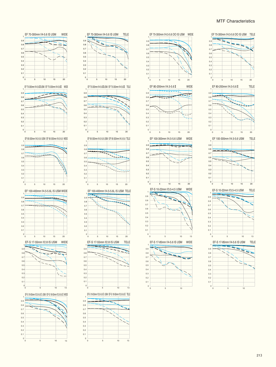#### MTF Characteristics







0.9 0.8 0.7 0.6 0.5 0.4 0.3 0.2

 $01$ 

 $\overline{0}$ 







EF 100-400mm f/4.5-5.6L IS USM TELE





EF-S 18-55mm f/3.5-5.6 II USM / EF-S 18-55mm f/3.5-5.6 II TELE

 $0.1$ 

 $\overline{\mathbf{0}}$ 

 $\overline{0}$ 

 $\overline{5}$ 

 $\overline{10}$ 









EF 100-400mm f/4.5-5.6L IS USM WIDE





EF-S 18-55mm f/3.5-5.6 USM / EF-S 18-55mm f/3.5-5.6 WIDE



213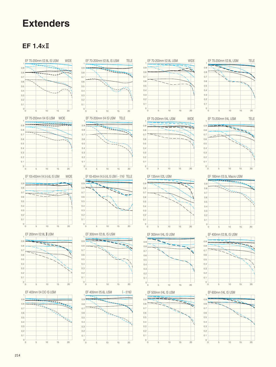# **Extenders**

# **EF 1.4**x $\mathbb{I}$



























EF 300mm f/4L IS USM



EF 500mm f/4L IS USM











EF 600mm f/4L IS USM

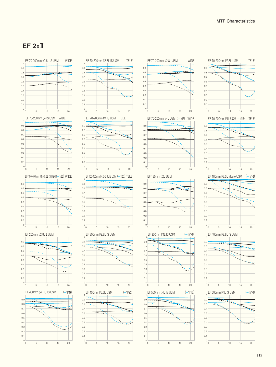# $EF$   $2x$  $\mathbb{I}$